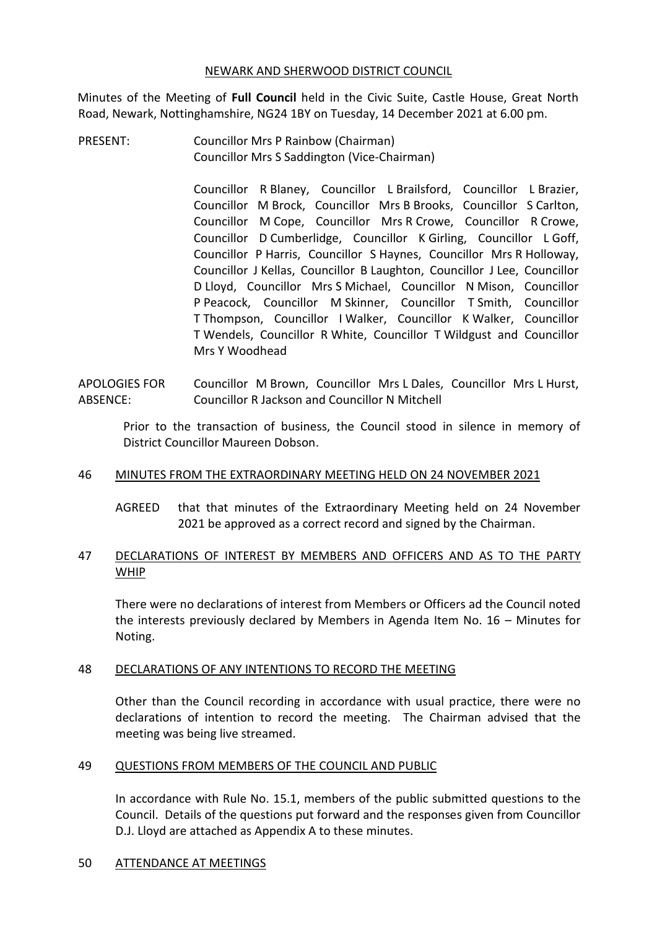#### NEWARK AND SHERWOOD DISTRICT COUNCIL

Minutes of the Meeting of **Full Council** held in the Civic Suite, Castle House, Great North Road, Newark, Nottinghamshire, NG24 1BY on Tuesday, 14 December 2021 at 6.00 pm.

PRESENT: Councillor Mrs P Rainbow (Chairman) Councillor Mrs S Saddington (Vice-Chairman)

> Councillor R Blaney, Councillor L Brailsford, Councillor L Brazier, Councillor M Brock, Councillor Mrs B Brooks, Councillor S Carlton, Councillor M Cope, Councillor Mrs R Crowe, Councillor R Crowe, Councillor D Cumberlidge, Councillor K Girling, Councillor L Goff, Councillor P Harris, Councillor S Haynes, Councillor Mrs R Holloway, Councillor J Kellas, Councillor B Laughton, Councillor J Lee, Councillor D Lloyd, Councillor Mrs S Michael, Councillor N Mison, Councillor P Peacock, Councillor M Skinner, Councillor T Smith, Councillor T Thompson, Councillor I Walker, Councillor K Walker, Councillor T Wendels, Councillor R White, Councillor T Wildgust and Councillor Mrs Y Woodhead

APOLOGIES FOR ABSENCE: Councillor M Brown, Councillor Mrs L Dales, Councillor Mrs L Hurst, Councillor R Jackson and Councillor N Mitchell

Prior to the transaction of business, the Council stood in silence in memory of District Councillor Maureen Dobson.

### 46 MINUTES FROM THE EXTRAORDINARY MEETING HELD ON 24 NOVEMBER 2021

AGREED that that minutes of the Extraordinary Meeting held on 24 November 2021 be approved as a correct record and signed by the Chairman.

### 47 DECLARATIONS OF INTEREST BY MEMBERS AND OFFICERS AND AS TO THE PARTY WHIP

There were no declarations of interest from Members or Officers ad the Council noted the interests previously declared by Members in Agenda Item No. 16 – Minutes for Noting.

### 48 DECLARATIONS OF ANY INTENTIONS TO RECORD THE MEETING

Other than the Council recording in accordance with usual practice, there were no declarations of intention to record the meeting. The Chairman advised that the meeting was being live streamed.

### 49 QUESTIONS FROM MEMBERS OF THE COUNCIL AND PUBLIC

In accordance with Rule No. 15.1, members of the public submitted questions to the Council. Details of the questions put forward and the responses given from Councillor D.J. Lloyd are attached as Appendix A to these minutes.

### 50 ATTENDANCE AT MEETINGS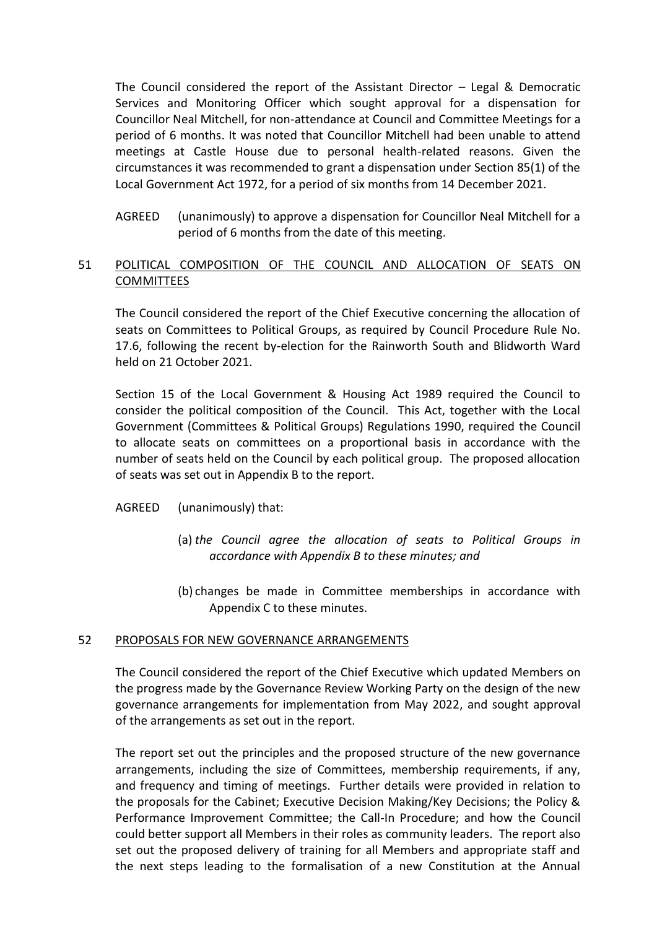The Council considered the report of the Assistant Director – Legal & Democratic Services and Monitoring Officer which sought approval for a dispensation for Councillor Neal Mitchell, for non-attendance at Council and Committee Meetings for a period of 6 months. It was noted that Councillor Mitchell had been unable to attend meetings at Castle House due to personal health-related reasons. Given the circumstances it was recommended to grant a dispensation under Section 85(1) of the Local Government Act 1972, for a period of six months from 14 December 2021.

AGREED (unanimously) to approve a dispensation for Councillor Neal Mitchell for a period of 6 months from the date of this meeting.

# 51 POLITICAL COMPOSITION OF THE COUNCIL AND ALLOCATION OF SEATS ON **COMMITTEES**

The Council considered the report of the Chief Executive concerning the allocation of seats on Committees to Political Groups, as required by Council Procedure Rule No. 17.6, following the recent by-election for the Rainworth South and Blidworth Ward held on 21 October 2021.

Section 15 of the Local Government & Housing Act 1989 required the Council to consider the political composition of the Council. This Act, together with the Local Government (Committees & Political Groups) Regulations 1990, required the Council to allocate seats on committees on a proportional basis in accordance with the number of seats held on the Council by each political group. The proposed allocation of seats was set out in Appendix B to the report.

- AGREED (unanimously) that:
	- (a) *the Council agree the allocation of seats to Political Groups in accordance with Appendix B to these minutes; and*
	- (b) changes be made in Committee memberships in accordance with Appendix C to these minutes.

### 52 PROPOSALS FOR NEW GOVERNANCE ARRANGEMENTS

The Council considered the report of the Chief Executive which updated Members on the progress made by the Governance Review Working Party on the design of the new governance arrangements for implementation from May 2022, and sought approval of the arrangements as set out in the report.

The report set out the principles and the proposed structure of the new governance arrangements, including the size of Committees, membership requirements, if any, and frequency and timing of meetings. Further details were provided in relation to the proposals for the Cabinet; Executive Decision Making/Key Decisions; the Policy & Performance Improvement Committee; the Call-In Procedure; and how the Council could better support all Members in their roles as community leaders. The report also set out the proposed delivery of training for all Members and appropriate staff and the next steps leading to the formalisation of a new Constitution at the Annual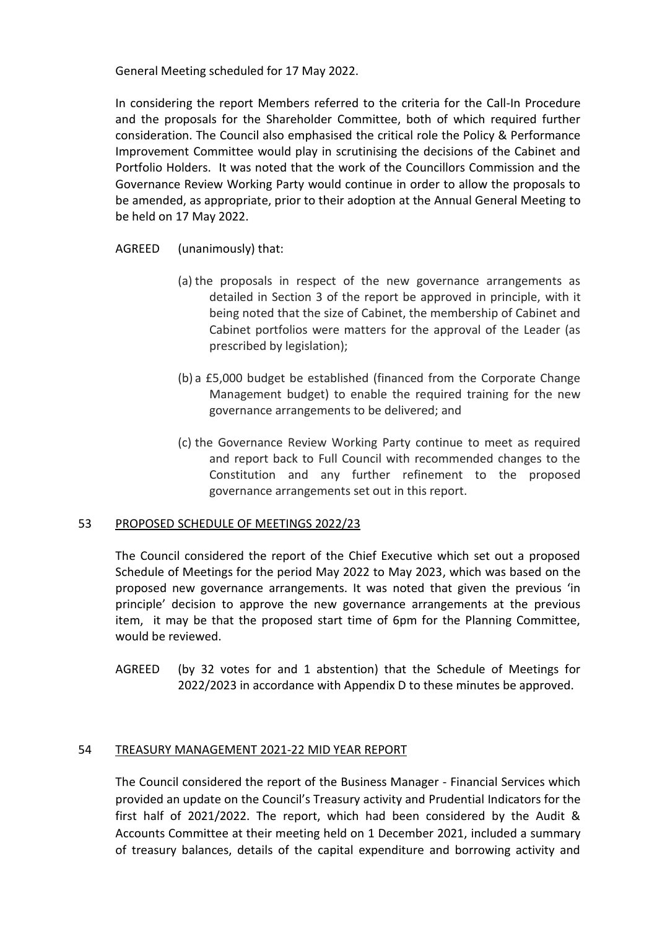General Meeting scheduled for 17 May 2022.

In considering the report Members referred to the criteria for the Call-In Procedure and the proposals for the Shareholder Committee, both of which required further consideration. The Council also emphasised the critical role the Policy & Performance Improvement Committee would play in scrutinising the decisions of the Cabinet and Portfolio Holders. It was noted that the work of the Councillors Commission and the Governance Review Working Party would continue in order to allow the proposals to be amended, as appropriate, prior to their adoption at the Annual General Meeting to be held on 17 May 2022.

### AGREED (unanimously) that:

- (a) the proposals in respect of the new governance arrangements as detailed in Section 3 of the report be approved in principle, with it being noted that the size of Cabinet, the membership of Cabinet and Cabinet portfolios were matters for the approval of the Leader (as prescribed by legislation);
- (b) a £5,000 budget be established (financed from the Corporate Change Management budget) to enable the required training for the new governance arrangements to be delivered; and
- (c) the Governance Review Working Party continue to meet as required and report back to Full Council with recommended changes to the Constitution and any further refinement to the proposed governance arrangements set out in this report.

### 53 PROPOSED SCHEDULE OF MEETINGS 2022/23

The Council considered the report of the Chief Executive which set out a proposed Schedule of Meetings for the period May 2022 to May 2023, which was based on the proposed new governance arrangements. It was noted that given the previous 'in principle' decision to approve the new governance arrangements at the previous item, it may be that the proposed start time of 6pm for the Planning Committee, would be reviewed.

AGREED (by 32 votes for and 1 abstention) that the Schedule of Meetings for 2022/2023 in accordance with Appendix D to these minutes be approved.

## 54 TREASURY MANAGEMENT 2021-22 MID YEAR REPORT

The Council considered the report of the Business Manager - Financial Services which provided an update on the Council's Treasury activity and Prudential Indicators for the first half of 2021/2022. The report, which had been considered by the Audit & Accounts Committee at their meeting held on 1 December 2021, included a summary of treasury balances, details of the capital expenditure and borrowing activity and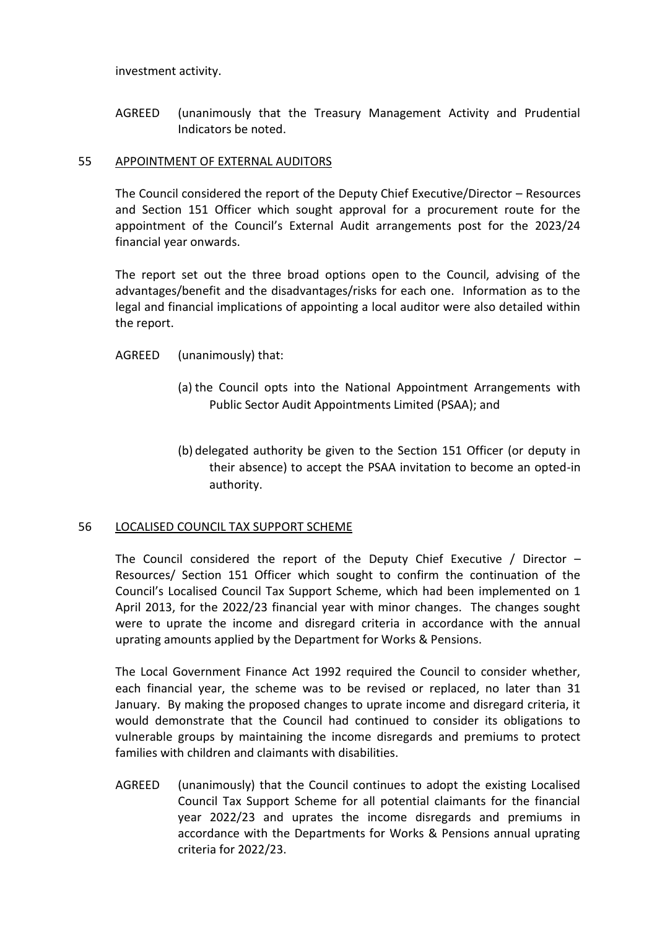investment activity.

AGREED (unanimously that the Treasury Management Activity and Prudential Indicators be noted.

### 55 APPOINTMENT OF EXTERNAL AUDITORS

The Council considered the report of the Deputy Chief Executive/Director – Resources and Section 151 Officer which sought approval for a procurement route for the appointment of the Council's External Audit arrangements post for the 2023/24 financial year onwards.

The report set out the three broad options open to the Council, advising of the advantages/benefit and the disadvantages/risks for each one. Information as to the legal and financial implications of appointing a local auditor were also detailed within the report.

- AGREED (unanimously) that:
	- (a) the Council opts into the National Appointment Arrangements with Public Sector Audit Appointments Limited (PSAA); and
	- (b) delegated authority be given to the Section 151 Officer (or deputy in their absence) to accept the PSAA invitation to become an opted-in authority.

### 56 LOCALISED COUNCIL TAX SUPPORT SCHEME

The Council considered the report of the Deputy Chief Executive / Director – Resources/ Section 151 Officer which sought to confirm the continuation of the Council's Localised Council Tax Support Scheme, which had been implemented on 1 April 2013, for the 2022/23 financial year with minor changes. The changes sought were to uprate the income and disregard criteria in accordance with the annual uprating amounts applied by the Department for Works & Pensions.

The Local Government Finance Act 1992 required the Council to consider whether, each financial year, the scheme was to be revised or replaced, no later than 31 January. By making the proposed changes to uprate income and disregard criteria, it would demonstrate that the Council had continued to consider its obligations to vulnerable groups by maintaining the income disregards and premiums to protect families with children and claimants with disabilities.

AGREED (unanimously) that the Council continues to adopt the existing Localised Council Tax Support Scheme for all potential claimants for the financial year 2022/23 and uprates the income disregards and premiums in accordance with the Departments for Works & Pensions annual uprating criteria for 2022/23.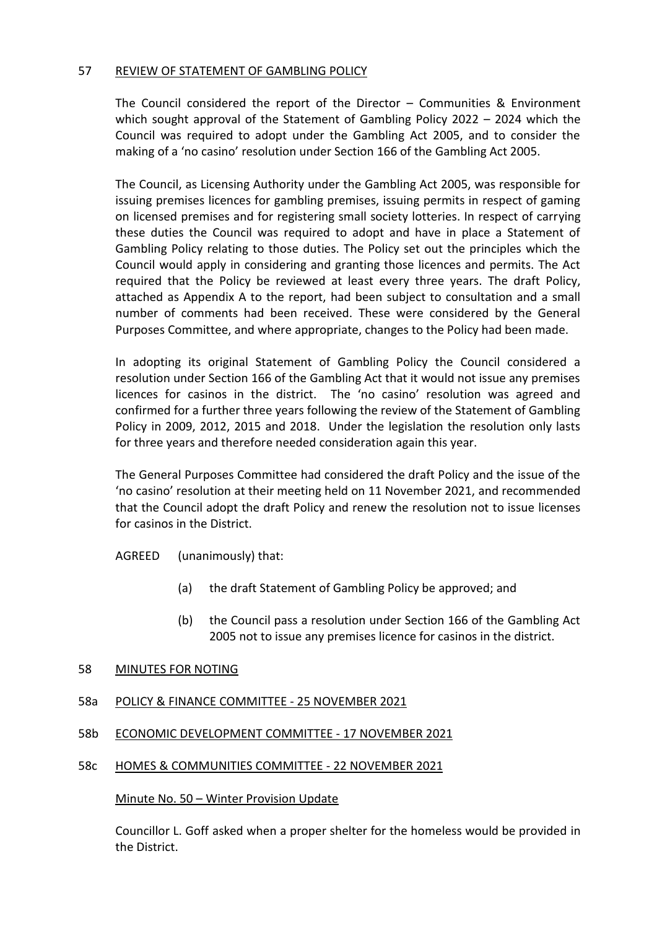### 57 REVIEW OF STATEMENT OF GAMBLING POLICY

The Council considered the report of the Director – Communities & Environment which sought approval of the Statement of Gambling Policy 2022 – 2024 which the Council was required to adopt under the Gambling Act 2005, and to consider the making of a 'no casino' resolution under Section 166 of the Gambling Act 2005.

The Council, as Licensing Authority under the Gambling Act 2005, was responsible for issuing premises licences for gambling premises, issuing permits in respect of gaming on licensed premises and for registering small society lotteries. In respect of carrying these duties the Council was required to adopt and have in place a Statement of Gambling Policy relating to those duties. The Policy set out the principles which the Council would apply in considering and granting those licences and permits. The Act required that the Policy be reviewed at least every three years. The draft Policy, attached as Appendix A to the report, had been subject to consultation and a small number of comments had been received. These were considered by the General Purposes Committee, and where appropriate, changes to the Policy had been made.

In adopting its original Statement of Gambling Policy the Council considered a resolution under Section 166 of the Gambling Act that it would not issue any premises licences for casinos in the district. The 'no casino' resolution was agreed and confirmed for a further three years following the review of the Statement of Gambling Policy in 2009, 2012, 2015 and 2018. Under the legislation the resolution only lasts for three years and therefore needed consideration again this year.

The General Purposes Committee had considered the draft Policy and the issue of the 'no casino' resolution at their meeting held on 11 November 2021, and recommended that the Council adopt the draft Policy and renew the resolution not to issue licenses for casinos in the District.

AGREED (unanimously) that:

- (a) the draft Statement of Gambling Policy be approved; and
- (b) the Council pass a resolution under Section 166 of the Gambling Act 2005 not to issue any premises licence for casinos in the district.

### 58 MINUTES FOR NOTING

### 58a POLICY & FINANCE COMMITTEE - 25 NOVEMBER 2021

## 58b ECONOMIC DEVELOPMENT COMMITTEE - 17 NOVEMBER 2021

### 58c HOMES & COMMUNITIES COMMITTEE - 22 NOVEMBER 2021

### Minute No. 50 – Winter Provision Update

Councillor L. Goff asked when a proper shelter for the homeless would be provided in the District.